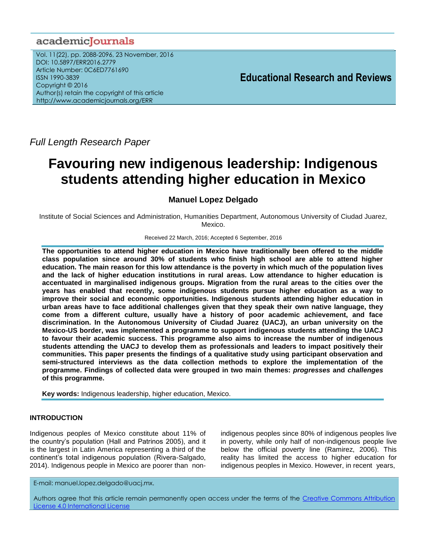## academicJournals

Vol. 11(22), pp. 2088-2096, 23 November, 2016 DOI: 10.5897/ERR2016.2779 Article Number: 0C6ED7761690 ISSN 1990-3839 Copyright © 2016 Author(s) retain the copyright of this article http://www.academicjournals.org/ERR

**Educational Research and Reviews**

*Full Length Research Paper*

# **Favouring new indigenous leadership: Indigenous students attending higher education in Mexico**

### **Manuel Lopez Delgado**

Institute of Social Sciences and Administration, Humanities Department, Autonomous University of Ciudad Juarez, Mexico.

#### Received 22 March, 2016; Accepted 6 September, 2016

**The opportunities to attend higher education in Mexico have traditionally been offered to the middle class population since around 30% of students who finish high school are able to attend higher education. The main reason for this low attendance is the poverty in which much of the population lives and the lack of higher education institutions in rural areas. Low attendance to higher education is accentuated in marginalised indigenous groups. Migration from the rural areas to the cities over the years has enabled that recently, some indigenous students pursue higher education as a way to improve their social and economic opportunities. Indigenous students attending higher education in urban areas have to face additional challenges given that they speak their own native language, they come from a different culture, usually have a history of poor academic achievement, and face discrimination. In the Autonomous University of Ciudad Juarez (UACJ), an urban university on the Mexico-US border, was implemented a programme to support indigenous students attending the UACJ to favour their academic success. This programme also aims to increase the number of indigenous students attending the UACJ to develop them as professionals and leaders to impact positively their communities. This paper presents the findings of a qualitative study using participant observation and semi-structured interviews as the data collection methods to explore the implementation of the programme. Findings of collected data were grouped in two main themes:** *progresses* **and** *challenges* **of this programme.**

**Key words:** Indigenous leadership, higher education, Mexico.

#### **INTRODUCTION**

Indigenous peoples of Mexico constitute about 11% of the country's population (Hall and Patrinos 2005), and it is the largest in Latin America representing a third of the continent's total indigenous population (Rivera-Salgado, 2014). Indigenous people in Mexico are poorer than non-

indigenous peoples since 80% of indigenous peoples live in poverty, while only half of non-indigenous people live below the official poverty line (Ramirez, 2006). This reality has limited the access to higher education for indigenous peoples in Mexico. However, in recent years,

E-mail: manuel.lopez.delgado@uacj.mx.

Authors agree that this article remain permanently open access under the terms of the [Creative Commons Attribution](file://192.168.1.24/reading/Arts%20and%20Education/ERR/2014/sept/read/Correction%20Pdf%201/ERR-17.04.14-1816/Publication/Creative%20Co)  [License 4.0 International License](file://192.168.1.24/reading/Arts%20and%20Education/ERR/2014/sept/read/Correction%20Pdf%201/ERR-17.04.14-1816/Publication/Creative%20Co)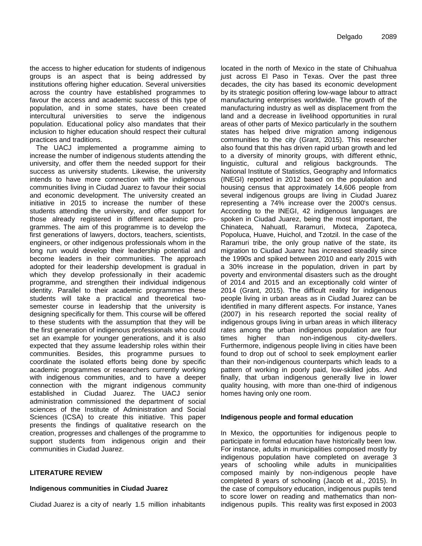the access to higher education for students of indigenous groups is an aspect that is being addressed by institutions offering higher education. Several universities across the country have established programmes to favour the access and academic success of this type of population, and in some states, have been created intercultural universities to serve the indigenous population. Educational policy also mandates that their inclusion to higher education should respect their cultural practices and traditions.

The UACJ implemented a programme aiming to increase the number of indigenous students attending the university, and offer them the needed support for their success as university students. Likewise, the university intends to have more connection with the indigenous communities living in Ciudad Juarez to favour their social and economic development. The university created an initiative in 2015 to increase the number of these students attending the university, and offer support for those already registered in different academic programmes. The aim of this programme is to develop the first generations of lawyers, doctors, teachers, scientists, engineers, or other indigenous professionals whom in the long run would develop their leadership potential and become leaders in their communities. The approach adopted for their leadership development is gradual in which they develop professionally in their academic programme, and strengthen their individual indigenous identity. Parallel to their academic programmes these students will take a practical and theoretical twosemester course in leadership that the university is designing specifically for them. This course will be offered to these students with the assumption that they will be the first generation of indigenous professionals who could set an example for younger generations, and it is also expected that they assume leadership roles within their communities. Besides, this programme pursues to coordinate the isolated efforts being done by specific academic programmes or researchers currently working with indigenous communities, and to have a deeper connection with the migrant indigenous community established in Ciudad Juarez. The UACJ senior administration commissioned the department of social sciences of the Institute of Administration and Social Sciences (ICSA) to create this initiative. This paper presents the findings of qualitative research on the creation, progresses and challenges of the programme to support students from indigenous origin and their communities in Ciudad Juarez.

#### **LITERATURE REVIEW**

#### **Indigenous communities in Ciudad Juarez**

Ciudad Juarez is a city of nearly 1.5 million inhabitants

located in the north of Mexico in the state of Chihuahua just across El Paso in Texas. Over the past three decades, the city has based its economic development by its strategic position offering low-wage labour to attract manufacturing enterprises worldwide. The growth of the manufacturing industry as well as displacement from the land and a decrease in livelihood opportunities in rural areas of other parts of Mexico particularly in the southern states has helped drive migration among indigenous communities to the city (Grant, 2015). This researcher also found that this has driven rapid urban growth and led to a diversity of minority groups, with different ethnic, linguistic, cultural and religious backgrounds. The National Institute of Statistics, Geography and Informatics (INEGI) reported in 2012 based on the population and housing census that approximately 14,606 people from several indigenous groups are living in Ciudad Juarez representing a 74% increase over the 2000's census. According to the INEGI, 42 indigenous languages are spoken in Ciudad Juarez, being the most important, the Chinateca, Nahuatl, Raramuri, Mixteca, Zapoteca, Popoluca, Huave, Huichol, and Tzotzil. In the case of the Raramuri tribe, the only group native of the state, its migration to Ciudad Juarez has increased steadily since the 1990s and spiked between 2010 and early 2015 with a 30% increase in the population, driven in part by poverty and environmental disasters such as the drought of 2014 and 2015 and an exceptionally cold winter of 2014 (Grant, 2015). The difficult reality for indigenous people living in urban areas as in Ciudad Juarez can be identified in many different aspects. For instance, Yanes (2007) in his research reported the social reality of indigenous groups living in urban areas in which illiteracy rates among the urban indigenous population are four times higher than non-indigenous city-dwellers. Furthermore, indigenous people living in cities have been found to drop out of school to seek employment earlier than their non-indigenous counterparts which leads to a pattern of working in poorly paid, low-skilled jobs. And finally, that urban indigenous generally live in lower quality housing, with more than one-third of indigenous homes having only one room.

#### **Indigenous people and formal education**

In Mexico, the opportunities for indigenous people to participate in formal education have historically been low. For instance, adults in municipalities composed mostly by indigenous population have completed on average 3 years of schooling while adults in municipalities composed mainly by non-indigenous people have completed 8 years of schooling (Jacob et al., 2015). In the case of compulsory education, indigenous pupils tend to score lower on reading and mathematics than nonindigenous pupils. This reality was first exposed in 2003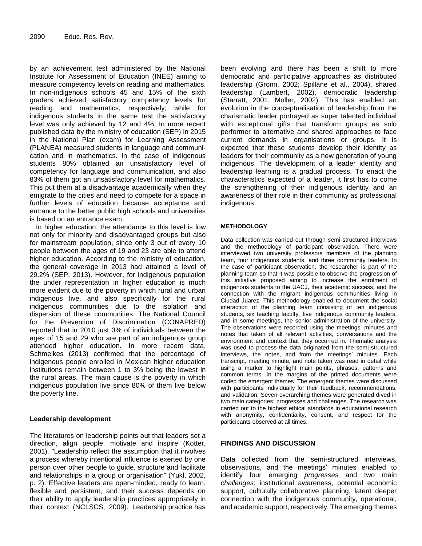by an achievement test administered by the National Institute for Assessment of Education (INEE) aiming to measure competency levels on reading and mathematics. In non-indigenous schools 45 and 15% of the sixth graders achieved satisfactory competency levels for reading and mathematics, respectively; while for indigenous students in the same test the satisfactory level was only achieved by 12 and 4%. In more recent published data by the ministry of education (SEP) in 2015 in the National Plan (exam) for Learning Assessment (PLANEA) measured students in language and communication and in mathematics. In the case of indigenous students 80% obtained an unsatisfactory level of competency for language and communication, and also 83% of them got an unsatisfactory level for mathematics. This put them at a disadvantage academically when they emigrate to the cities and need to compete for a space in further levels of education because acceptance and entrance to the better public high schools and universities is based on an entrance exam.

In higher education, the attendance to this level is low not only for minority and disadvantaged groups but also for mainstream population, since only 3 out of every 10 people between the ages of 19 and 23 are able to attend higher education. According to the ministry of education, the general coverage in 2013 had attained a level of 29.2% (SEP, 2013). However, for indigenous population the under representation in higher education is much more evident due to the poverty in which rural and urban indigenous live, and also specifically for the rural indigenous communities due to the isolation and dispersion of these communities. The National Council for the Prevention of Discrimination (CONAPRED) reported that in 2010 just 3% of individuals between the ages of 15 and 29 who are part of an indigenous group attended higher education. In more recent data, Schmelkes (2013) confirmed that the percentage of indigenous people enrolled in Mexican higher education institutions remain between 1 to 3% being the lowest in the rural areas. The main cause is the poverty in which indigenous population live since 80% of them live below the poverty line.

#### **Leadership development**

The literatures on leadership points out that leaders set a direction, align people, motivate and inspire (Kotter, 2001). "Leadership reflect the assumption that it involves a process whereby intentional influence is exerted by one person over other people to guide, structure and facilitate and relationships in a group or organisation" (Yukl, 2002, p. 2). Effective leaders are open-minded, ready to learn, flexible and persistent, and their success depends on their ability to apply leadership practices appropriately in their context (NCLSCS, 2009). Leadership practice has been evolving and there has been a shift to more democratic and participative approaches as distributed leadership (Gronn, 2002; Spillane et al., 2004), shared leadership (Lambert, 2002), democratic leadership (Starratt, 2001; Moller, 2002). This has enabled an evolution in the conceptualisation of leadership from the charismatic leader portrayed as super talented individual with exceptional gifts that transform groups as solo performer to alternative and shared approaches to face current demands in organisations or groups. It is expected that these students develop their identity as leaders for their community as a new generation of young indigenous. The development of a leader identity and leadership learning is a gradual process. To enact the characteristics expected of a leader, it first has to come the strengthening of their indigenous identity and an awareness of their role in their community as professional indigenous.

#### **METHODOLOGY**

Data collection was carried out through semi-structured interviews and the methodology of participant observation. There were interviewed two university professors members of the planning team, four indigenous students, and three community leaders. In the case of participant observation, the researcher is part of the planning team so that it was possible to observe the progression of this initiative proposed aiming to increase the enrolment of indigenous students to the UACJ, their academic success, and the connection with the migrant indigenous communities living in Ciudad Juarez. This methodology enabled to document the social interaction of the planning team consisting of ten indigenous students, six teaching faculty, five indigenous community leaders, and in some meetings, the senior administration of the university. The observations were recorded using the meetings' minutes and notes that taken of all relevant activities, conversations and the environment and context that they occurred in. Thematic analysis was used to process the data originated from the semi-structured interviews, the notes, and from the meetings' minutes. Each transcript, meeting minute, and note taken was read in detail while using a marker to highlight main points, phrases, patterns and common terms. In the margins of the printed documents were coded the emergent themes. The emergent themes were discussed with participants individually for their feedback, recommendations, and validation. Seven overarching themes were generated dived in two main categories: progresses and challenges. The research was carried out to the highest ethical standards in educational research with anonymity, confidentiality, consent, and respect for the participants observed at all times.

#### **FINDINGS AND DISCUSSION**

Data collected from the semi-structured interviews, observations, and the meetings' minutes enabled to identify four emerging *progresses* and two main *challenges*: institutional awareness, potential economic support, culturally collaborative planning, latent deeper connection with the indigenous community, operational, and academic support, respectively. The emerging themes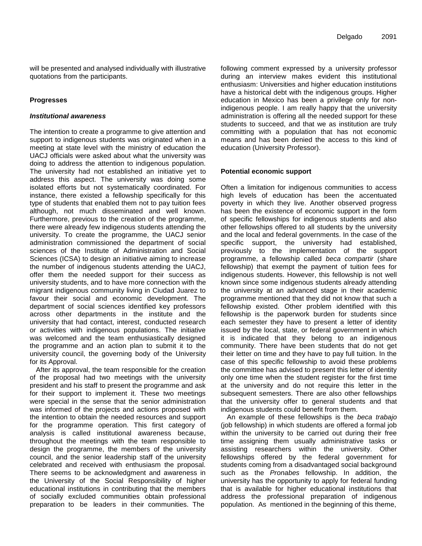will be presented and analysed individually with illustrative quotations from the participants.

#### **Progresses**

#### *Institutional awareness*

The intention to create a programme to give attention and support to indigenous students was originated when in a meeting at state level with the ministry of education the UACJ officials were asked about what the university was doing to address the attention to indigenous population. The university had not established an initiative yet to address this aspect. The university was doing some isolated efforts but not systematically coordinated. For instance, there existed a fellowship specifically for this type of students that enabled them not to pay tuition fees although, not much disseminated and well known. Furthermore, previous to the creation of the programme, there were already few indigenous students attending the university. To create the programme, the UACJ senior administration commissioned the department of social sciences of the Institute of Administration and Social Sciences (ICSA) to design an initiative aiming to increase the number of indigenous students attending the UACJ, offer them the needed support for their success as university students, and to have more connection with the migrant indigenous community living in Ciudad Juarez to favour their social and economic development. The department of social sciences identified key professors across other departments in the institute and the university that had contact, interest, conducted research or activities with indigenous populations. The initiative was welcomed and the team enthusiastically designed the programme and an action plan to submit it to the university council, the governing body of the University for its Approval.

After its approval, the team responsible for the creation of the proposal had two meetings with the university president and his staff to present the programme and ask for their support to implement it. These two meetings were special in the sense that the senior administration was informed of the projects and actions proposed with the intention to obtain the needed resources and support for the programme operation. This first category of analysis is called institutional awareness because, throughout the meetings with the team responsible to design the programme, the members of the university council, and the senior leadership staff of the university celebrated and received with enthusiasm the proposal. There seems to be acknowledgment and awareness in the University of the Social Responsibility of higher educational institutions in contributing that the members of socially excluded communities obtain professional preparation to be leaders in their communities. The

following comment expressed by a university professor during an interview makes evident this institutional enthusiasm: Universities and higher education institutions have a historical debt with the indigenous groups. Higher education in Mexico has been a privilege only for nonindigenous people. I am really happy that the university administration is offering all the needed support for these students to succeed, and that we as institution are truly committing with a population that has not economic means and has been denied the access to this kind of education (University Professor).

#### **Potential economic support**

Often a limitation for indigenous communities to access high levels of education has been the accentuated poverty in which they live. Another observed progress has been the existence of economic support in the form of specific fellowships for indigenous students and also other fellowships offered to all students by the university and the local and federal governments. In the case of the specific support, the university had established, previously to the implementation of the support programme, a fellowship called *beca compartir* (share fellowship) that exempt the payment of tuition fees for indigenous students. However, this fellowship is not well known since some indigenous students already attending the university at an advanced stage in their academic programme mentioned that they did not know that such a fellowship existed. Other problem identified with this fellowship is the paperwork burden for students since each semester they have to present a letter of identity issued by the local, state, or federal government in which it is indicated that they belong to an indigenous community. There have been students that do not get their letter on time and they have to pay full tuition. In the case of this specific fellowship to avoid these problems the committee has advised to present this letter of identity only one time when the student register for the first time at the university and do not require this letter in the subsequent semesters. There are also other fellowships that the university offer to general students and that indigenous students could benefit from them.

An example of these fellowships is the *beca trabajo* (job fellowship) in which students are offered a formal job within the university to be carried out during their free time assigning them usually administrative tasks or assisting researchers within the university. Other fellowships offered by the federal government for students coming from a disadvantaged social background such as the *Pronabes* fellowship. In addition, the university has the opportunity to apply for federal funding that is available for higher educational institutions that address the professional preparation of indigenous population. As mentioned in the beginning of this theme,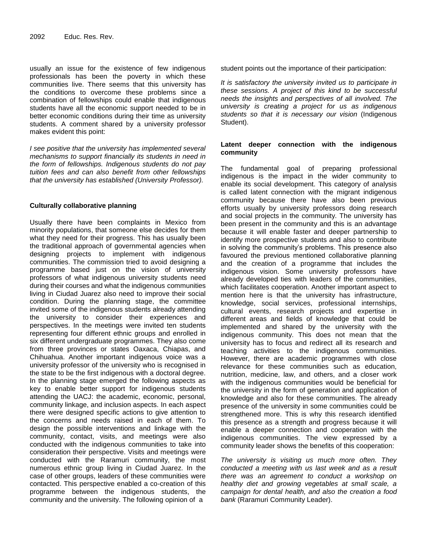usually an issue for the existence of few indigenous professionals has been the poverty in which these communities live. There seems that this university has the conditions to overcome these problems since a combination of fellowships could enable that indigenous students have all the economic support needed to be in better economic conditions during their time as university students. A comment shared by a university professor makes evident this point:

*I see positive that the university has implemented several mechanisms to support financially its students in need in the form of fellowships. Indigenous students do not pay tuition fees and can also benefit from other fellowships that the university has established (University Professor).*

#### **Culturally collaborative planning**

Usually there have been complaints in Mexico from minority populations, that someone else decides for them what they need for their progress. This has usually been the traditional approach of governmental agencies when designing projects to implement with indigenous communities. The commission tried to avoid designing a programme based just on the vision of university professors of what indigenous university students need during their courses and what the indigenous communities living in Ciudad Juarez also need to improve their social condition. During the planning stage, the committee invited some of the indigenous students already attending the university to consider their experiences and perspectives. In the meetings were invited ten students representing four different ethnic groups and enrolled in six different undergraduate programmes. They also come from three provinces or states Oaxaca, Chiapas, and Chihuahua. Another important indigenous voice was a university professor of the university who is recognised in the state to be the first indigenous with a doctoral degree. In the planning stage emerged the following aspects as key to enable better support for indigenous students attending the UACJ: the academic, economic, personal, community linkage, and inclusion aspects. In each aspect there were designed specific actions to give attention to the concerns and needs raised in each of them. To design the possible interventions and linkage with the community, contact, visits, and meetings were also conducted with the indigenous communities to take into consideration their perspective. Visits and meetings were conducted with the Raramuri community, the most numerous ethnic group living in Ciudad Juarez. In the case of other groups, leaders of these communities were contacted. This perspective enabled a co-creation of this programme between the indigenous students, the community and the university. The following opinion of a

student points out the importance of their participation:

*It is satisfactory the university invited us to participate in these sessions. A project of this kind to be successful needs the insights and perspectives of all involved. The university is creating a project for us as indigenous students so that it is necessary our vision* (Indigenous Student).

#### **Latent deeper connection with the indigenous community**

The fundamental goal of preparing professional indigenous is the impact in the wider community to enable its social development. This category of analysis is called latent connection with the migrant indigenous community because there have also been previous efforts usually by university professors doing research and social projects in the community. The university has been present in the community and this is an advantage because it will enable faster and deeper partnership to identify more prospective students and also to contribute in solving the community's problems. This presence also favoured the previous mentioned collaborative planning and the creation of a programme that includes the indigenous vision. Some university professors have already developed ties with leaders of the communities, which facilitates cooperation. Another important aspect to mention here is that the university has infrastructure, knowledge, social services, professional internships, cultural events, research projects and expertise in different areas and fields of knowledge that could be implemented and shared by the university with the indigenous community. This does not mean that the university has to focus and redirect all its research and teaching activities to the indigenous communities. However, there are academic programmes with close relevance for these communities such as education, nutrition, medicine, law, and others, and a closer work with the indigenous communities would be beneficial for the university in the form of generation and application of knowledge and also for these communities. The already presence of the university in some communities could be strengthened more. This is why this research identified this presence as a strength and progress because it will enable a deeper connection and cooperation with the indigenous communities. The view expressed by a community leader shows the benefits of this cooperation:

*The university is visiting us much more often. They conducted a meeting with us last week and as a result there was an agreement to conduct a workshop on healthy diet and growing vegetables at small scale, a campaign for dental health, and also the creation a food bank* (Raramuri Community Leader).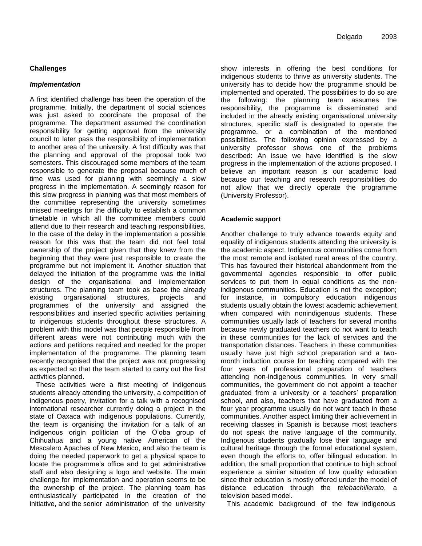#### **Challenges**

#### *Implementation*

A first identified challenge has been the operation of the programme. Initially, the department of social sciences was just asked to coordinate the proposal of the programme. The department assumed the coordination responsibility for getting approval from the university council to later pass the responsibility of implementation to another area of the university. A first difficulty was that the planning and approval of the proposal took two semesters. This discouraged some members of the team responsible to generate the proposal because much of time was used for planning with seemingly a slow progress in the implementation. A seemingly reason for this slow progress in planning was that most members of the committee representing the university sometimes missed meetings for the difficulty to establish a common timetable in which all the committee members could attend due to their research and teaching responsibilities. In the case of the delay in the implementation a possible reason for this was that the team did not feel total ownership of the project given that they knew from the beginning that they were just responsible to create the programme but not implement it. Another situation that delayed the initiation of the programme was the initial design of the organisational and implementation structures. The planning team took as base the already existing organisational structures, projects and programmes of the university and assigned the responsibilities and inserted specific activities pertaining to indigenous students throughout these structures. A problem with this model was that people responsible from different areas were not contributing much with the actions and petitions required and needed for the proper implementation of the programme. The planning team recently recognised that the project was not progressing as expected so that the team started to carry out the first activities planned.

These activities were a first meeting of indigenous students already attending the university, a competition of indigenous poetry, invitation for a talk with a recognised international researcher currently doing a project in the state of Oaxaca with indigenous populations. Currently, the team is organising the invitation for a talk of an indigenous origin politician of the O'oba group of Chihuahua and a young native American of the Mescalero Apaches of New Mexico, and also the team is doing the needed paperwork to get a physical space to locate the programme's office and to get administrative staff and also designing a logo and website. The main challenge for implementation and operation seems to be the ownership of the project. The planning team has enthusiastically participated in the creation of the initiative, and the senior administration of the university

show interests in offering the best conditions for indigenous students to thrive as university students. The university has to decide how the programme should be implemented and operated. The possibilities to do so are the following: the planning team assumes the responsibility, the programme is disseminated and included in the already existing organisational university structures, specific staff is designated to operate the programme, or a combination of the mentioned possibilities. The following opinion expressed by a university professor shows one of the problems described: An issue we have identified is the slow progress in the implementation of the actions proposed. I believe an important reason is our academic load because our teaching and research responsibilities do not allow that we directly operate the programme (University Professor).

#### **Academic support**

Another challenge to truly advance towards equity and equality of indigenous students attending the university is the academic aspect. Indigenous communities come from the most remote and isolated rural areas of the country. This has favoured their historical abandonment from the governmental agencies responsible to offer public services to put them in equal conditions as the nonindigenous communities. Education is not the exception; for instance, in compulsory education indigenous students usually obtain the lowest academic achievement when compared with nonindigenous students. These communities usually lack of teachers for several months because newly graduated teachers do not want to teach in these communities for the lack of services and the transportation distances. Teachers in these communities usually have just high school preparation and a twomonth induction course for teaching compared with the four years of professional preparation of teachers attending non-indigenous communities. In very small communities, the government do not appoint a teacher graduated from a university or a teachers' preparation school, and also, teachers that have graduated from a four year programme usually do not want teach in these communities. Another aspect limiting their achievement in receiving classes in Spanish is because most teachers do not speak the native language of the community. Indigenous students gradually lose their language and cultural heritage through the formal educational system, even though the efforts to, offer bilingual education. In addition, the small proportion that continue to high school experience a similar situation of low quality education since their education is mostly offered under the model of distance education through the *telebachillerato*, a television based model.

This academic background of the few indigenous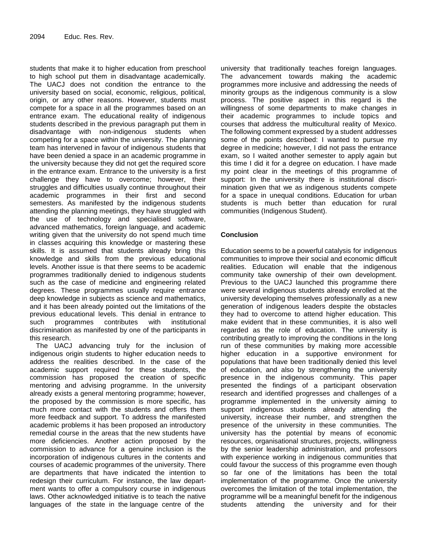students that make it to higher education from preschool to high school put them in disadvantage academically. The UACJ does not condition the entrance to the university based on social, economic, religious, political, origin, or any other reasons. However, students must compete for a space in all the programmes based on an entrance exam. The educational reality of indigenous students described in the previous paragraph put them in disadvantage with non-indigenous students when competing for a space within the university. The planning team has intervened in favour of indigenous students that have been denied a space in an academic programme in the university because they did not get the required score in the entrance exam. Entrance to the university is a first challenge they have to overcome; however, their struggles and difficulties usually continue throughout their academic programmes in their first and second semesters. As manifested by the indigenous students attending the planning meetings, they have struggled with the use of technology and specialised software, advanced mathematics, foreign language, and academic writing given that the university do not spend much time in classes acquiring this knowledge or mastering these skills. It is assumed that students already bring this knowledge and skills from the previous educational levels. Another issue is that there seems to be academic programmes traditionally denied to indigenous students such as the case of medicine and engineering related degrees. These programmes usually require entrance deep knowledge in subjects as science and mathematics, and it has been already pointed out the limitations of the previous educational levels. This denial in entrance to such programmes contributes with institutional discrimination as manifested by one of the participants in this research.

The UACJ advancing truly for the inclusion of indigenous origin students to higher education needs to address the realities described. In the case of the academic support required for these students, the commission has proposed the creation of specific mentoring and advising programme. In the university already exists a general mentoring programme; however, the proposed by the commission is more specific, has much more contact with the students and offers them more feedback and support. To address the manifested academic problems it has been proposed an introductory remedial course in the areas that the new students have more deficiencies. Another action proposed by the commission to advance for a genuine inclusion is the incorporation of indigenous cultures in the contents and courses of academic programmes of the university. There are departments that have indicated the intention to redesign their curriculum. For instance, the law department wants to offer a compulsory course in indigenous laws. Other acknowledged initiative is to teach the native languages of the state in the language centre of the

university that traditionally teaches foreign languages. The advancement towards making the academic programmes more inclusive and addressing the needs of minority groups as the indigenous community is a slow process. The positive aspect in this regard is the willingness of some departments to make changes in their academic programmes to include topics and courses that address the multicultural reality of Mexico. The following comment expressed by a student addresses some of the points described: I wanted to pursue my degree in medicine; however, I did not pass the entrance exam, so I waited another semester to apply again but this time I did it for a degree on education. I have made my point clear in the meetings of this programme of support: In the university there is institutional discrimination given that we as indigenous students compete for a space in unequal conditions. Education for urban students is much better than education for rural communities (Indigenous Student).

#### **Conclusion**

Education seems to be a powerful catalysis for indigenous communities to improve their social and economic difficult realities. Education will enable that the indigenous community take ownership of their own development. Previous to the UACJ launched this programme there were several indigenous students already enrolled at the university developing themselves professionally as a new generation of indigenous leaders despite the obstacles they had to overcome to attend higher education. This make evident that in these communities, it is also well regarded as the role of education. The university is contributing greatly to improving the conditions in the long run of these communities by making more accessible higher education in a supportive environment for populations that have been traditionally denied this level of education, and also by strengthening the university presence in the indigenous community. This paper presented the findings of a participant observation research and identified progresses and challenges of a programme implemented in the university aiming to support indigenous students already attending the university, increase their number, and strengthen the presence of the university in these communities. The university has the potential by means of economic resources, organisational structures, projects, willingness by the senior leadership administration, and professors with experience working in indigenous communities that could favour the success of this programme even though so far one of the limitations has been the total implementation of the programme. Once the university overcomes the limitation of the total implementation, the programme will be a meaningful benefit for the indigenous students attending the university and for their